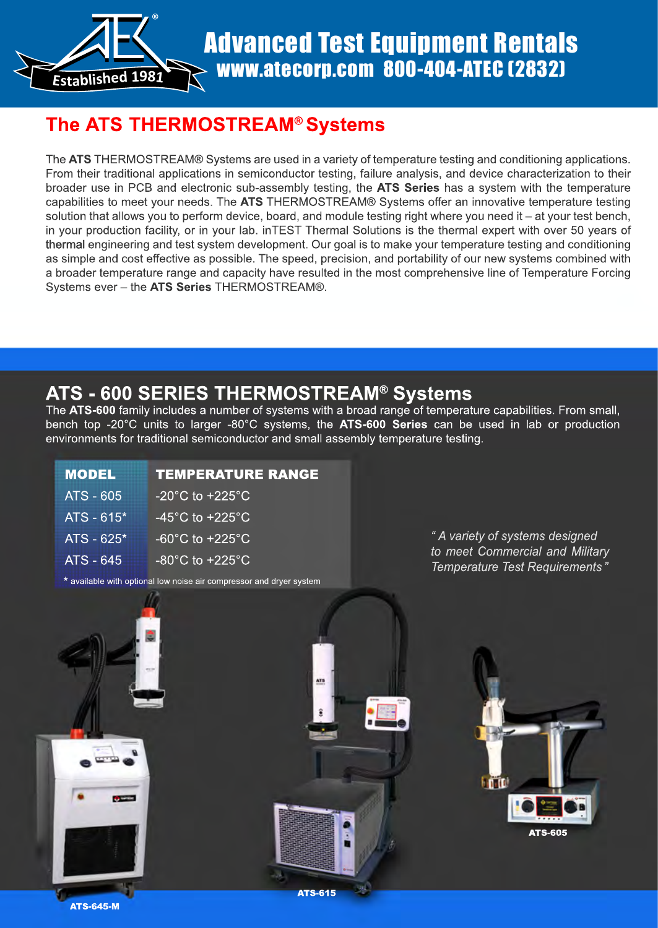

# Advanced Test Equipment Rentals www.atecorp.com 800-404-ATEC (2832)

## **The ATS THERMOSTREAM® Systems**

The **ATS** THERMOSTREAM® Systems are used in a variety of temperature testing and conditioning applications. From their traditional applications in semiconductor testing, failure analysis, and device characterization to their broader use in PCB and electronic sub-assembly testing, the **ATS Series** has a system with the temperature capabilities to meet your needs. The **ATS** THERMOSTREAM® Systems offer an innovative temperature testing solution that allows you to perform device, board, and module testing right where you need it – at your test bench, in your production facility, or in your lab. inTEST Thermal Solutions is the thermal expert with over 50 years of thermal engineering and test system development. Our goal is to make your temperature testing and conditioning as simple and cost effective as possible. The speed, precision, and portability of our new systems combined with a broader temperature range and capacity have resulted in the most comprehensive line of Temperature Forcing Systems ever – the **ATS Series** THERMOSTREAM®.

## **ATS - 600 SERIES THERMOSTREAM® Systems**

The **ATS-600** family includes a number of systems with a broad range of temperature capabilities. From small, bench top -20°C units to larger -80°C systems, the **ATS-600 Series** can be used in lab or production environments for traditional semiconductor and small assembly temperature testing.

| <b>MODEL</b>     | <b>TEMPERATURE RANGE</b>             |
|------------------|--------------------------------------|
| ATS - 605        | -20 $^{\circ}$ C to $+225^{\circ}$ C |
| $ATS - 615*$     | $-45^{\circ}$ C to $+225^{\circ}$ C  |
| $ATS - 625*$     | $-60^{\circ}$ C to $+225^{\circ}$ C  |
| <b>ATS - 645</b> | $-80^{\circ}$ C to $+225^{\circ}$ C  |

\* available with optional low noise air compressor and dryer system

*" A variety of systems designed to meet Commercial and Military Temperature Test Requirements "*

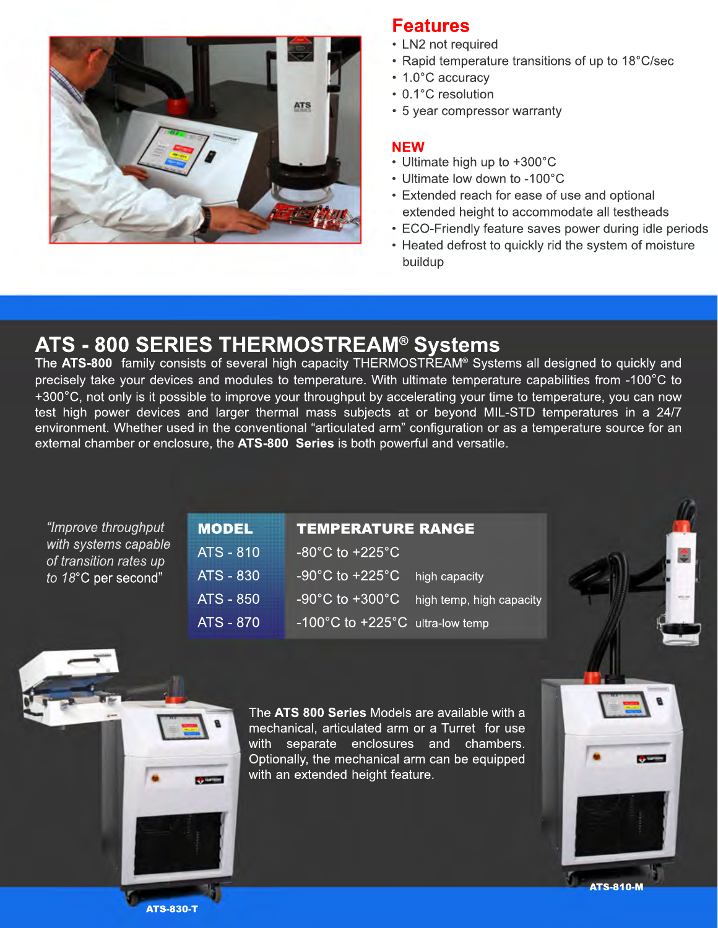

### **Features**

- LN2 not required
- Rapid temperature transitions of up to 18°C/sec
- 1.0°C accuracy
- 0.1°C resolution
- 5 year compressor warranty

#### **NEW**

- Ultimate high up to +300°C
- Ultimate low down to -100°C
- Extended reach for ease of use and optional extended height to accommodate all testheads
- ECO-Friendly feature saves power during idle periods
- Heated defrost to quickly rid the system of moisture buildup

## **ATS - 800 SERIES THERMOSTREAM® Systems**

The **ATS-800** family consists of several high capacity THERMOSTREAM® Systems all designed to quickly and precisely take your devices and modules to temperature. With ultimate temperature capabilities from -100°C to +300°C, not only is it possible to improve your throughput by accelerating your time to temperature, you can now test high power devices and larger thermal mass subjects at or beyond MIL-STD temperatures in a 24/7 environment. Whether used in the conventional "articulated arm" configuration or as a temperature source for an external chamber or enclosure, the **ATS-800 Series** is both powerful and versatile.

| "Improve throughput                                                   | <b>MODEL</b>     | <b>TEMPERATURE RANGE</b>                                          |  |
|-----------------------------------------------------------------------|------------------|-------------------------------------------------------------------|--|
| with systems capable<br>of transition rates up<br>to 18°C per second" | <b>ATS - 810</b> | $-80^{\circ}$ C to +225 $^{\circ}$ C                              |  |
|                                                                       | $ATS - 830$      | $-90^{\circ}$ C to $+225^{\circ}$ C<br>high capacity              |  |
|                                                                       | <b>ATS - 850</b> | -90 $^{\circ}$ C to +300 $^{\circ}$ C<br>high temp, high capacity |  |
|                                                                       | <b>ATS - 870</b> | -100°C to +225°C ultra-low temp                                   |  |
|                                                                       |                  |                                                                   |  |



The **ATS 800 Series** Models are available with a mechanical, articulated arm or a Turret for use with separate enclosures and chambers. Optionally, the mechanical arm can be equipped with an extended height feature.